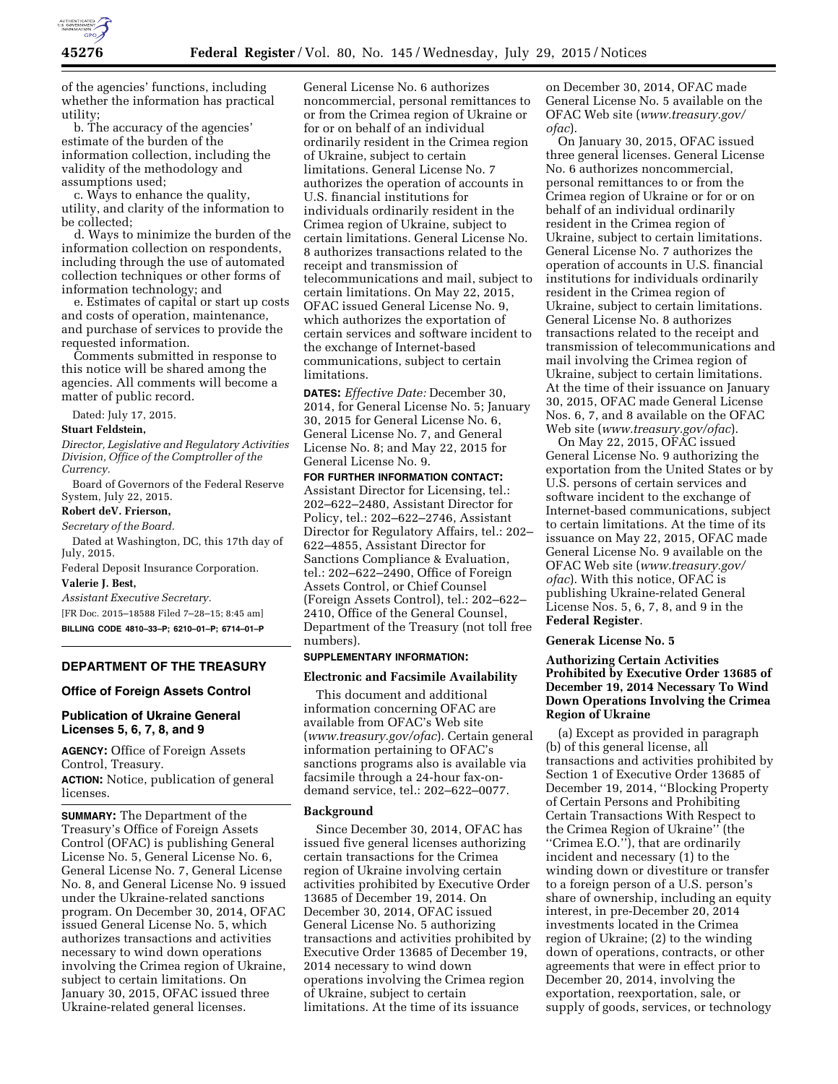

of the agencies' functions, including whether the information has practical utility;

b. The accuracy of the agencies' estimate of the burden of the information collection, including the validity of the methodology and assumptions used;

c. Ways to enhance the quality, utility, and clarity of the information to be collected;

d. Ways to minimize the burden of the information collection on respondents, including through the use of automated collection techniques or other forms of information technology; and

e. Estimates of capital or start up costs and costs of operation, maintenance, and purchase of services to provide the requested information.

Comments submitted in response to this notice will be shared among the agencies. All comments will become a matter of public record.

Dated: July 17, 2015.

### **Stuart Feldstein,**

*Director, Legislative and Regulatory Activities Division, Office of the Comptroller of the Currency.* 

Board of Governors of the Federal Reserve System, July 22, 2015.

### **Robert deV. Frierson,**

*Secretary of the Board.* 

Dated at Washington, DC, this 17th day of July, 2015.

Federal Deposit Insurance Corporation.

# **Valerie J. Best,**

*Assistant Executive Secretary.* 

[FR Doc. 2015–18588 Filed 7–28–15; 8:45 am] **BILLING CODE 4810–33–P; 6210–01–P; 6714–01–P** 

## **DEPARTMENT OF THE TREASURY**

## **Office of Foreign Assets Control**

## **Publication of Ukraine General Licenses 5, 6, 7, 8, and 9**

**AGENCY:** Office of Foreign Assets Control, Treasury.

**ACTION:** Notice, publication of general licenses.

**SUMMARY:** The Department of the Treasury's Office of Foreign Assets Control (OFAC) is publishing General License No. 5, General License No. 6, General License No. 7, General License No. 8, and General License No. 9 issued under the Ukraine-related sanctions program. On December 30, 2014, OFAC issued General License No. 5, which authorizes transactions and activities necessary to wind down operations involving the Crimea region of Ukraine, subject to certain limitations. On January 30, 2015, OFAC issued three Ukraine-related general licenses.

General License No. 6 authorizes noncommercial, personal remittances to or from the Crimea region of Ukraine or for or on behalf of an individual ordinarily resident in the Crimea region of Ukraine, subject to certain limitations. General License No. 7 authorizes the operation of accounts in U.S. financial institutions for individuals ordinarily resident in the Crimea region of Ukraine, subject to certain limitations. General License No. 8 authorizes transactions related to the receipt and transmission of telecommunications and mail, subject to certain limitations. On May 22, 2015, OFAC issued General License No. 9, which authorizes the exportation of certain services and software incident to the exchange of Internet-based communications, subject to certain limitations.

**DATES:** *Effective Date:* December 30, 2014, for General License No. 5; January 30, 2015 for General License No. 6, General License No. 7, and General License No. 8; and May 22, 2015 for General License No. 9.

**FOR FURTHER INFORMATION CONTACT:**  Assistant Director for Licensing, tel.: 202–622–2480, Assistant Director for Policy, tel.: 202–622–2746, Assistant Director for Regulatory Affairs, tel.: 202– 622–4855, Assistant Director for Sanctions Compliance & Evaluation, tel.: 202–622–2490, Office of Foreign Assets Control, or Chief Counsel (Foreign Assets Control), tel.: 202–622– 2410, Office of the General Counsel, Department of the Treasury (not toll free numbers).

## **SUPPLEMENTARY INFORMATION:**

### **Electronic and Facsimile Availability**

This document and additional information concerning OFAC are available from OFAC's Web site (*www.treasury.gov/ofac*). Certain general information pertaining to OFAC's sanctions programs also is available via facsimile through a 24-hour fax-ondemand service, tel.: 202–622–0077.

### **Background**

Since December 30, 2014, OFAC has issued five general licenses authorizing certain transactions for the Crimea region of Ukraine involving certain activities prohibited by Executive Order 13685 of December 19, 2014. On December 30, 2014, OFAC issued General License No. 5 authorizing transactions and activities prohibited by Executive Order 13685 of December 19, 2014 necessary to wind down operations involving the Crimea region of Ukraine, subject to certain limitations. At the time of its issuance

on December 30, 2014, OFAC made General License No. 5 available on the OFAC Web site (*www.treasury.gov/ ofac*).

On January 30, 2015, OFAC issued three general licenses. General License No. 6 authorizes noncommercial, personal remittances to or from the Crimea region of Ukraine or for or on behalf of an individual ordinarily resident in the Crimea region of Ukraine, subject to certain limitations. General License No. 7 authorizes the operation of accounts in U.S. financial institutions for individuals ordinarily resident in the Crimea region of Ukraine, subject to certain limitations. General License No. 8 authorizes transactions related to the receipt and transmission of telecommunications and mail involving the Crimea region of Ukraine, subject to certain limitations. At the time of their issuance on January 30, 2015, OFAC made General License Nos. 6, 7, and 8 available on the OFAC Web site (*www.treasury.gov/ofac*).

On May 22, 2015, OFAC issued General License No. 9 authorizing the exportation from the United States or by U.S. persons of certain services and software incident to the exchange of Internet-based communications, subject to certain limitations. At the time of its issuance on May 22, 2015, OFAC made General License No. 9 available on the OFAC Web site (*www.treasury.gov/ ofac*). With this notice, OFAC is publishing Ukraine-related General License Nos. 5, 6, 7, 8, and 9 in the **Federal Register**.

### **Generak License No. 5**

## **Authorizing Certain Activities Prohibited by Executive Order 13685 of December 19, 2014 Necessary To Wind Down Operations Involving the Crimea Region of Ukraine**

(a) Except as provided in paragraph (b) of this general license, all transactions and activities prohibited by Section 1 of Executive Order 13685 of December 19, 2014, ''Blocking Property of Certain Persons and Prohibiting Certain Transactions With Respect to the Crimea Region of Ukraine'' (the ''Crimea E.O.''), that are ordinarily incident and necessary (1) to the winding down or divestiture or transfer to a foreign person of a U.S. person's share of ownership, including an equity interest, in pre-December 20, 2014 investments located in the Crimea region of Ukraine; (2) to the winding down of operations, contracts, or other agreements that were in effect prior to December 20, 2014, involving the exportation, reexportation, sale, or supply of goods, services, or technology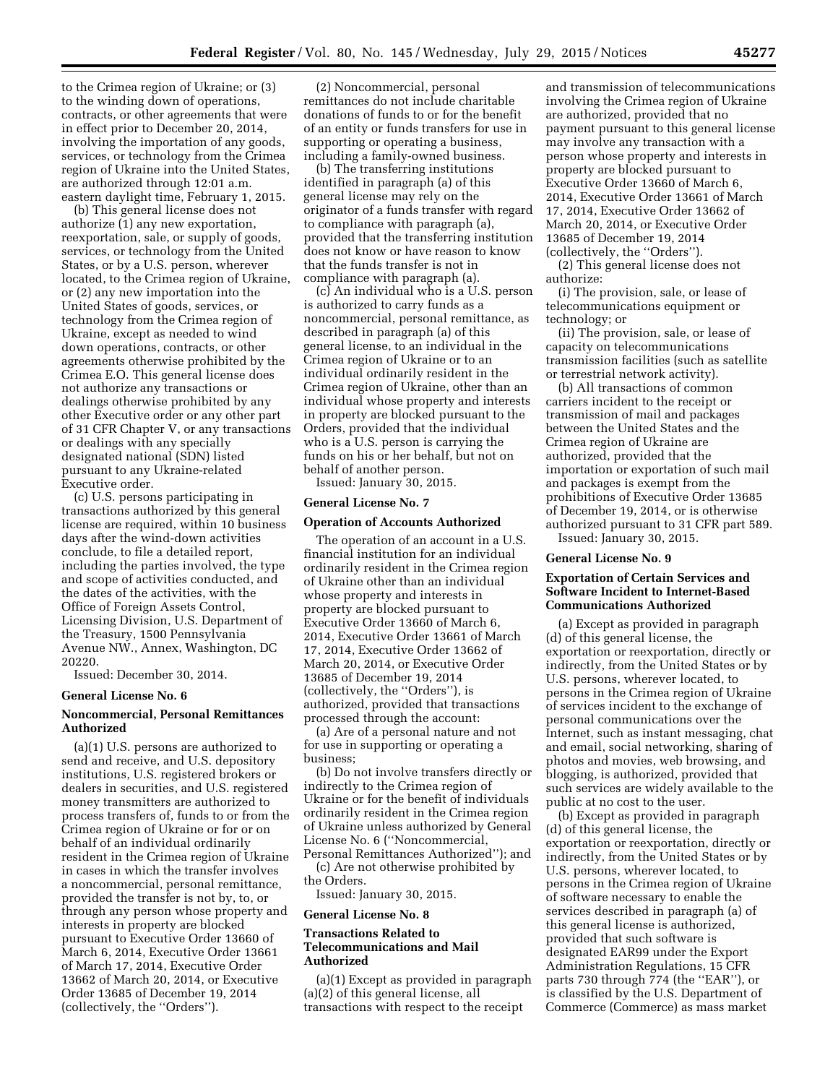to the Crimea region of Ukraine; or (3) to the winding down of operations, contracts, or other agreements that were in effect prior to December 20, 2014, involving the importation of any goods, services, or technology from the Crimea region of Ukraine into the United States, are authorized through 12:01 a.m. eastern daylight time, February 1, 2015.

(b) This general license does not authorize (1) any new exportation, reexportation, sale, or supply of goods, services, or technology from the United States, or by a U.S. person, wherever located, to the Crimea region of Ukraine, or (2) any new importation into the United States of goods, services, or technology from the Crimea region of Ukraine, except as needed to wind down operations, contracts, or other agreements otherwise prohibited by the Crimea E.O. This general license does not authorize any transactions or dealings otherwise prohibited by any other Executive order or any other part of 31 CFR Chapter V, or any transactions or dealings with any specially designated national (SDN) listed pursuant to any Ukraine-related Executive order.

(c) U.S. persons participating in transactions authorized by this general license are required, within 10 business days after the wind-down activities conclude, to file a detailed report, including the parties involved, the type and scope of activities conducted, and the dates of the activities, with the Office of Foreign Assets Control, Licensing Division, U.S. Department of the Treasury, 1500 Pennsylvania Avenue NW., Annex, Washington, DC 20220.

Issued: December 30, 2014.

#### **General License No. 6**

## **Noncommercial, Personal Remittances Authorized**

(a)(1) U.S. persons are authorized to send and receive, and U.S. depository institutions, U.S. registered brokers or dealers in securities, and U.S. registered money transmitters are authorized to process transfers of, funds to or from the Crimea region of Ukraine or for or on behalf of an individual ordinarily resident in the Crimea region of Ukraine in cases in which the transfer involves a noncommercial, personal remittance, provided the transfer is not by, to, or through any person whose property and interests in property are blocked pursuant to Executive Order 13660 of March 6, 2014, Executive Order 13661 of March 17, 2014, Executive Order 13662 of March 20, 2014, or Executive Order 13685 of December 19, 2014 (collectively, the ''Orders'').

(2) Noncommercial, personal remittances do not include charitable donations of funds to or for the benefit of an entity or funds transfers for use in supporting or operating a business, including a family-owned business.

(b) The transferring institutions identified in paragraph (a) of this general license may rely on the originator of a funds transfer with regard to compliance with paragraph (a), provided that the transferring institution does not know or have reason to know that the funds transfer is not in compliance with paragraph (a).

(c) An individual who is a U.S. person is authorized to carry funds as a noncommercial, personal remittance, as described in paragraph (a) of this general license, to an individual in the Crimea region of Ukraine or to an individual ordinarily resident in the Crimea region of Ukraine, other than an individual whose property and interests in property are blocked pursuant to the Orders, provided that the individual who is a U.S. person is carrying the funds on his or her behalf, but not on behalf of another person. Issued: January 30, 2015.

# **General License No. 7**

## **Operation of Accounts Authorized**

The operation of an account in a U.S. financial institution for an individual ordinarily resident in the Crimea region of Ukraine other than an individual whose property and interests in property are blocked pursuant to Executive Order 13660 of March 6, 2014, Executive Order 13661 of March 17, 2014, Executive Order 13662 of March 20, 2014, or Executive Order 13685 of December 19, 2014 (collectively, the ''Orders''), is authorized, provided that transactions processed through the account:

(a) Are of a personal nature and not for use in supporting or operating a business;

(b) Do not involve transfers directly or indirectly to the Crimea region of Ukraine or for the benefit of individuals ordinarily resident in the Crimea region of Ukraine unless authorized by General License No. 6 (''Noncommercial, Personal Remittances Authorized''); and

(c) Are not otherwise prohibited by the Orders.

Issued: January 30, 2015.

### **General License No. 8**

## **Transactions Related to Telecommunications and Mail Authorized**

(a)(1) Except as provided in paragraph (a)(2) of this general license, all transactions with respect to the receipt

and transmission of telecommunications involving the Crimea region of Ukraine are authorized, provided that no payment pursuant to this general license may involve any transaction with a person whose property and interests in property are blocked pursuant to Executive Order 13660 of March 6, 2014, Executive Order 13661 of March 17, 2014, Executive Order 13662 of March 20, 2014, or Executive Order 13685 of December 19, 2014 (collectively, the ''Orders'').

(2) This general license does not authorize:

(i) The provision, sale, or lease of telecommunications equipment or technology; or

(ii) The provision, sale, or lease of capacity on telecommunications transmission facilities (such as satellite or terrestrial network activity).

(b) All transactions of common carriers incident to the receipt or transmission of mail and packages between the United States and the Crimea region of Ukraine are authorized, provided that the importation or exportation of such mail and packages is exempt from the prohibitions of Executive Order 13685 of December 19, 2014, or is otherwise authorized pursuant to 31 CFR part 589. Issued: January 30, 2015.

### **General License No. 9**

### **Exportation of Certain Services and Software Incident to Internet-Based Communications Authorized**

(a) Except as provided in paragraph (d) of this general license, the exportation or reexportation, directly or indirectly, from the United States or by U.S. persons, wherever located, to persons in the Crimea region of Ukraine of services incident to the exchange of personal communications over the Internet, such as instant messaging, chat and email, social networking, sharing of photos and movies, web browsing, and blogging, is authorized, provided that such services are widely available to the public at no cost to the user.

(b) Except as provided in paragraph (d) of this general license, the exportation or reexportation, directly or indirectly, from the United States or by U.S. persons, wherever located, to persons in the Crimea region of Ukraine of software necessary to enable the services described in paragraph (a) of this general license is authorized, provided that such software is designated EAR99 under the Export Administration Regulations, 15 CFR parts 730 through 774 (the ''EAR''), or is classified by the U.S. Department of Commerce (Commerce) as mass market